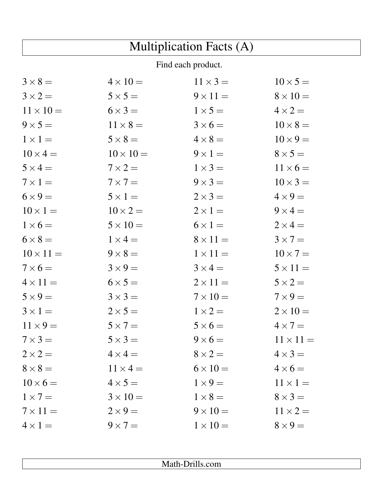| <b>Multiplication Facts (A)</b> |                  |                 |                  |  |
|---------------------------------|------------------|-----------------|------------------|--|
| Find each product.              |                  |                 |                  |  |
| $3 \times 8 =$                  | $4 \times 10 =$  | $11 \times 3 =$ | $10 \times 5 =$  |  |
| $3 \times 2 =$                  | $5 \times 5 =$   | $9 \times 11 =$ | $8 \times 10 =$  |  |
| $11 \times 10 =$                | $6 \times 3 =$   | $1 \times 5 =$  | $4 \times 2 =$   |  |
| $9 \times 5 =$                  | $11 \times 8 =$  | $3 \times 6 =$  | $10 \times 8 =$  |  |
| $1 \times 1 =$                  | $5 \times 8 =$   | $4 \times 8 =$  | $10 \times 9 =$  |  |
| $10 \times 4 =$                 | $10 \times 10 =$ | $9 \times 1 =$  | $8 \times 5 =$   |  |
| $5 \times 4 =$                  | $7 \times 2 =$   | $1 \times 3 =$  | $11 \times 6 =$  |  |
| $7 \times 1 =$                  | $7 \times 7 =$   | $9 \times 3 =$  | $10 \times 3 =$  |  |
| $6 \times 9 =$                  | $5 \times 1 =$   | $2 \times 3 =$  | $4 \times 9 =$   |  |
| $10 \times 1 =$                 | $10 \times 2 =$  | $2 \times 1 =$  | $9 \times 4 =$   |  |
| $1 \times 6 =$                  | $5 \times 10 =$  | $6 \times 1 =$  | $2 \times 4 =$   |  |
| $6 \times 8 =$                  | $1 \times 4 =$   | $8 \times 11 =$ | $3 \times 7 =$   |  |
| $10 \times 11 =$                | $9 \times 8 =$   | $1 \times 11 =$ | $10 \times 7 =$  |  |
| $7 \times 6 =$                  | $3 \times 9 =$   | $3 \times 4 =$  | $5 \times 11 =$  |  |
| $4 \times 11 =$                 | $6 \times 5 =$   | $2 \times 11 =$ | $5 \times 2 =$   |  |
| $5 \times 9 =$                  | $3 \times 3 =$   | $7 \times 10 =$ | $7 \times 9 =$   |  |
| $3 \times 1 =$                  | $2\times 5=$     | $1 \times 2 =$  | $2 \times 10 =$  |  |
| $11 \times 9 =$                 | $5 \times 7 =$   | $5 \times 6 =$  | $4 \times 7 =$   |  |
| $7 \times 3 =$                  | $5 \times 3 =$   | $9 \times 6 =$  | $11 \times 11 =$ |  |
| $2 \times 2 =$                  | $4 \times 4 =$   | $8 \times 2 =$  | $4 \times 3 =$   |  |
| $8 \times 8 =$                  | $11 \times 4 =$  | $6 \times 10 =$ | $4 \times 6 =$   |  |
| $10 \times 6 =$                 | $4 \times 5 =$   | $1 \times 9 =$  | $11 \times 1 =$  |  |
| $1 \times 7 =$                  | $3 \times 10 =$  | $1 \times 8 =$  | $8 \times 3 =$   |  |
| $7 \times 11 =$                 | $2\times 9=$     | $9 \times 10 =$ | $11 \times 2 =$  |  |
| $4 \times 1 =$                  | $9 \times 7 =$   | $1 \times 10 =$ | $8 \times 9 =$   |  |